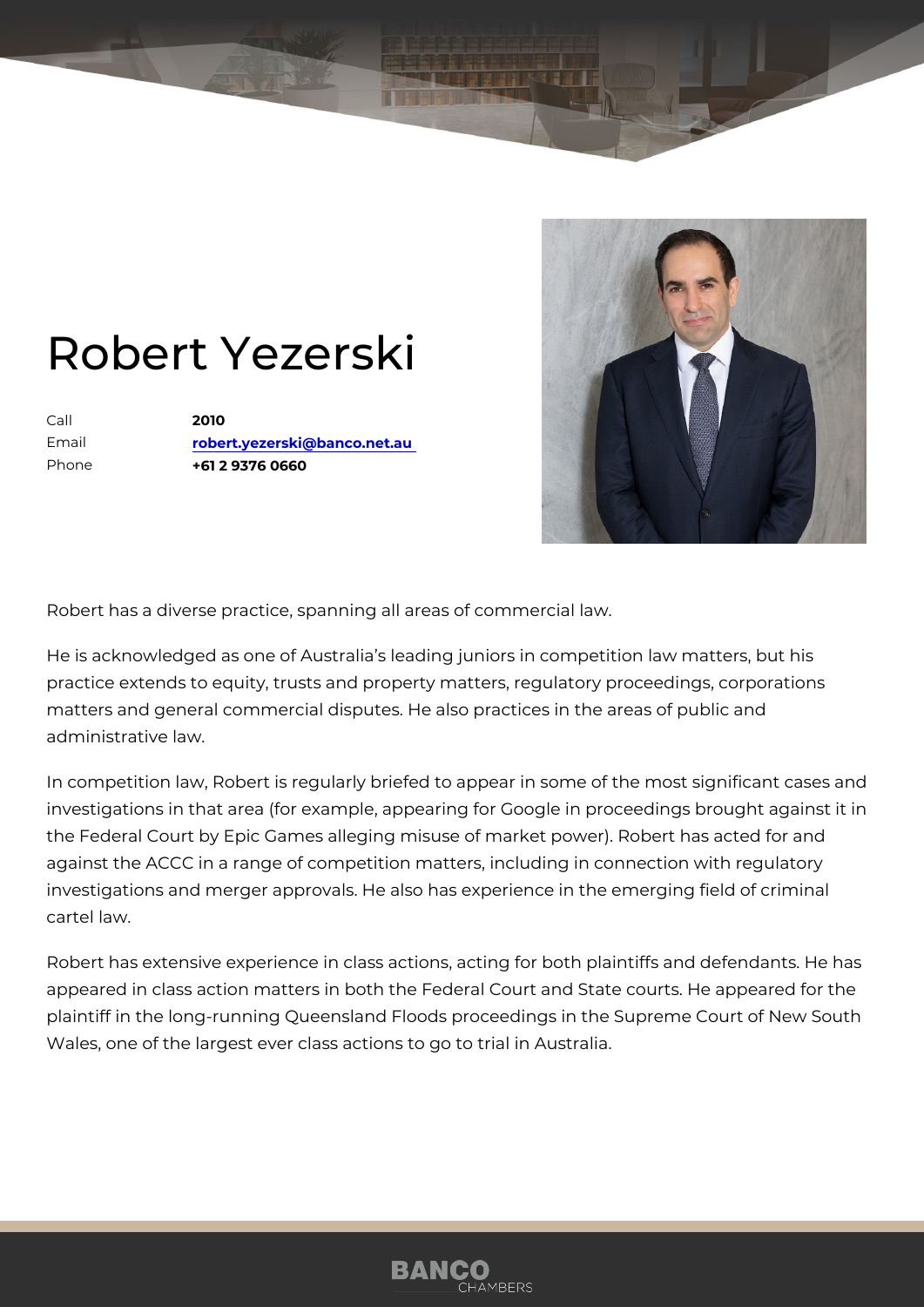## Robert Yezerski

Call 2010 Email [robert.yezerski@banco](mailto:robert.yezerski@banco.net.au).net.au Phone +61 2 9376 0660

Robert has a diverse practice, spanning all areas of commercial law.

He is acknowledged as one of Australia s leading juniors in competition I practice extends to equity, trusts and property matters, regulatory proce matters and general commercial disputes. He also practices in the areas administrative law.

In competition law, Robert is regularly briefed to appear in some of the r investigations in that area (for example, appearing for Google in proceed the Federal Court by Epic Games alleging misuse of market power). Robe against the ACCC in a range of competition matters, including in connect investigations and merger approvals. He also has experience in the emer cartel law.

Robert has extensive experience in class actions, acting for both plaintif appeared in class action matters in both the Federal Court and State cou plaintiff in the long-running Queensland Floods proceedings in the Supre Wales, one of the largest ever class actions to go to trial in Australia.